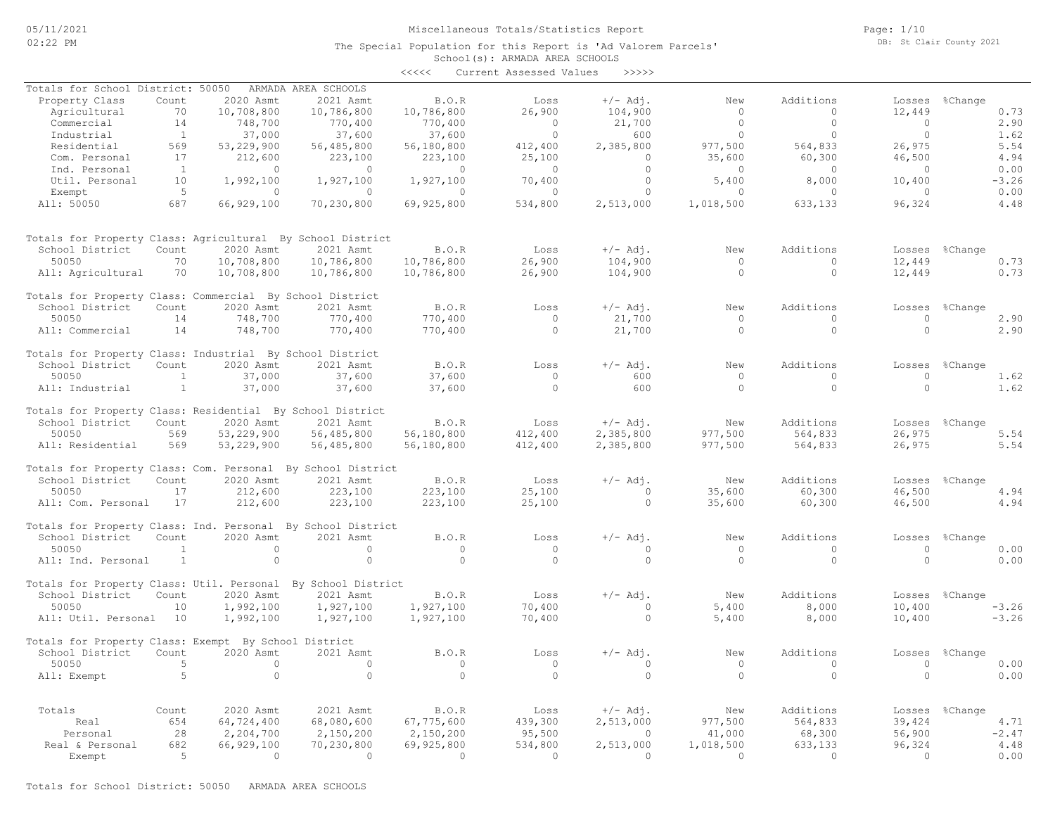The Special Population for this Report is 'Ad Valorem Parcels'

Page: 1/10 DB: St Clair County 2021

|       | School(s): ARMADA AREA SCHOOLS |  |       |
|-------|--------------------------------|--|-------|
| くくくくく | Current Assessed Values        |  | >>>>> |

| Totals for School District: 50050                            |                |            | ARMADA AREA SCHOOLS |            |          |            |           |            |            |                |
|--------------------------------------------------------------|----------------|------------|---------------------|------------|----------|------------|-----------|------------|------------|----------------|
| Property Class                                               | Count          | 2020 Asmt  | 2021 Asmt           | B.O.R      | Loss     | $+/-$ Adj. | New       | Additions  | Losses     | %Change        |
| Agricultural                                                 | 70             | 10,708,800 | 10,786,800          | 10,786,800 | 26,900   | 104,900    | $\circ$   | $\circ$    | 12,449     | 0.73           |
| Commercial                                                   | 14             | 748,700    | 770,400             | 770,400    | $\Omega$ | 21,700     | $\circ$   | $\Omega$   | $\bigcirc$ | 2.90           |
| Industrial                                                   | $\overline{1}$ | 37,000     | 37,600              | 37,600     | $\Omega$ | 600        | $\Omega$  | $\Omega$   | $\circ$    | 1.62           |
| Residential                                                  | 569            | 53,229,900 | 56,485,800          | 56,180,800 | 412,400  | 2,385,800  | 977,500   | 564,833    | 26,975     | 5.54           |
| Com. Personal                                                | 17             | 212,600    | 223,100             | 223,100    | 25,100   | $\circ$    | 35,600    | 60,300     | 46,500     | 4.94           |
| Ind. Personal                                                | $\overline{1}$ | $\Omega$   | $\Omega$            | $\Omega$   | $\circ$  | $\circ$    | $\Omega$  | $\circ$    | $\bigcirc$ | 0.00           |
| Util. Personal                                               | 10             | 1,992,100  | 1,927,100           | 1,927,100  | 70,400   | $\circ$    | 5,400     | 8,000      | 10,400     | $-3.26$        |
| Exempt                                                       | $-5$           | $\circ$    | $\circ$             | $\Omega$   | $\circ$  | $\circ$    | $\circ$   | $\circ$    | $\circ$    | 0.00           |
| All: 50050                                                   | 687            | 66,929,100 | 70,230,800          | 69,925,800 | 534,800  | 2,513,000  | 1,018,500 | 633,133    | 96,324     | 4.48           |
|                                                              |                |            |                     |            |          |            |           |            |            |                |
| Totals for Property Class: Agricultural By School District   |                |            |                     |            |          |            |           |            |            |                |
| School District                                              | Count          | 2020 Asmt  | 2021 Asmt           | B.O.R      | Loss     | $+/-$ Adj. | New       | Additions  |            | Losses %Change |
| 50050                                                        | 70             | 10,708,800 | 10,786,800          | 10,786,800 | 26,900   | 104,900    | $\circ$   | $\circ$    | 12,449     | 0.73           |
| All: Agricultural                                            | 70             | 10,708,800 | 10,786,800          | 10,786,800 | 26,900   | 104,900    | $\Omega$  | $\Omega$   | 12,449     | 0.73           |
|                                                              |                |            |                     |            |          |            |           |            |            |                |
| Totals for Property Class: Commercial By School District     |                |            |                     |            |          |            |           |            |            |                |
| School District                                              | Count          | 2020 Asmt  | 2021 Asmt           | B.O.R      | Loss     | $+/-$ Adj. | New       | Additions  |            | Losses %Change |
| 50050                                                        | 14             | 748,700    | 770,400             | 770,400    | $\Omega$ | 21,700     | $\Omega$  | $\cap$     | $\Omega$   | 2.90           |
| All: Commercial                                              | 14             | 748,700    | 770,400             | 770,400    | $\Omega$ | 21,700     | $\Omega$  | $\Omega$   | $\Omega$   | 2.90           |
| Totals for Property Class: Industrial By School District     |                |            |                     |            |          |            |           |            |            |                |
| School District                                              | Count          | 2020 Asmt  | 2021 Asmt           | B.O.R      | Loss     | $+/-$ Adj. | New       | Additions  |            | Losses %Change |
| 50050                                                        | <sup>1</sup>   | 37,000     | 37,600              | 37,600     | $\circ$  | 600        | $\circ$   | $\circ$    | $\circ$    | 1.62           |
| All: Industrial                                              | $\mathbf{1}$   | 37,000     | 37,600              | 37,600     | $\circ$  | 600        | $\circ$   | $\circ$    | $\circ$    | 1.62           |
|                                                              |                |            |                     |            |          |            |           |            |            |                |
| Totals for Property Class: Residential By School District    |                |            |                     |            |          |            |           |            |            |                |
| School District                                              | Count          | 2020 Asmt  | 2021 Asmt           | B.O.R      | Loss     | $+/-$ Adj. | New       | Additions  |            | Losses %Change |
| 50050                                                        | 569            | 53,229,900 | 56,485,800          | 56,180,800 | 412,400  | 2,385,800  | 977,500   | 564,833    | 26,975     | 5.54           |
| All: Residential                                             | 569            | 53,229,900 | 56,485,800          | 56,180,800 | 412,400  | 2,385,800  | 977,500   | 564,833    | 26,975     | 5.54           |
| Totals for Property Class: Com. Personal By School District  |                |            |                     |            |          |            |           |            |            |                |
| School District                                              | Count          | 2020 Asmt  | 2021 Asmt           | B.O.R      | Loss     | $+/-$ Adj. | New       | Additions  | Losses     | %Change        |
| 50050                                                        | 17             | 212,600    | 223,100             | 223,100    | 25,100   | $\Omega$   | 35,600    | 60,300     | 46,500     | 4.94           |
| All: Com. Personal                                           | 17             | 212,600    | 223,100             | 223,100    | 25,100   | $\Omega$   | 35,600    | 60,300     | 46,500     | 4.94           |
|                                                              |                |            |                     |            |          |            |           |            |            |                |
| Totals for Property Class: Ind. Personal By School District  |                |            |                     |            |          |            |           |            |            |                |
| School District                                              | Count          | 2020 Asmt  | 2021 Asmt           | B.O.R      | Loss     | $+/-$ Adj. | New       | Additions  | Losses     | %Change        |
| 50050                                                        | 1              | $\circ$    | $\circ$             | $\circ$    | $\circ$  | $\circ$    | $\circ$   | $\circ$    | $\circ$    | 0.00           |
| All: Ind. Personal                                           | <sup>1</sup>   | $\circ$    | $\circ$             | $\Omega$   | $\Omega$ | $\circ$    | $\Omega$  | $\circ$    | $\circ$    | 0.00           |
| Totals for Property Class: Util. Personal By School District |                |            |                     |            |          |            |           |            |            |                |
| School District                                              | Count          | 2020 Asmt  | 2021 Asmt           | B.O.R      | Loss     | $+/-$ Adj. | New       | Additions  |            | Losses %Change |
| 50050                                                        | 10             | 1,992,100  | 1,927,100           | 1,927,100  | 70,400   | $\circ$    | 5,400     | 8,000      | 10,400     | $-3.26$        |
| All: Util. Personal 10                                       |                | 1,992,100  | 1,927,100           | 1,927,100  | 70,400   | $\circ$    | 5,400     | 8,000      | 10,400     | $-3.26$        |
| Totals for Property Class: Exempt By School District         |                |            |                     |            |          |            |           |            |            |                |
| School District                                              | Count          | 2020 Asmt  | 2021 Asmt           | B.O.R      | Loss     | $+/-$ Adj. | New       | Additions  | Losses     | %Change        |
| 50050                                                        | $\overline{5}$ | $\circ$    | $\circ$             | $\Omega$   | $\circ$  | $\Omega$   | $\circ$   | $\bigcirc$ | $\circ$    | 0.00           |
| All: Exempt                                                  | 5              | $\Omega$   | $\Omega$            | $\Omega$   | $\Omega$ | $\Omega$   | $\Omega$  | $\Omega$   | $\Omega$   | 0.00           |
|                                                              |                |            |                     |            |          |            |           |            |            |                |
|                                                              |                |            |                     |            |          |            |           |            |            |                |
| Totals                                                       | Count          | 2020 Asmt  | 2021 Asmt           | B.O.R      | Loss     | $+/-$ Adj. | New       | Additions  |            | Losses %Change |
| Real                                                         | 654            | 64,724,400 | 68,080,600          | 67,775,600 | 439,300  | 2,513,000  | 977,500   | 564,833    | 39,424     | 4.71           |
| Personal                                                     | 28             | 2,204,700  | 2,150,200           | 2,150,200  | 95,500   | $\Omega$   | 41,000    | 68,300     | 56,900     | $-2.47$        |
| Real & Personal                                              | 682            | 66,929,100 | 70,230,800          | 69,925,800 | 534,800  | 2,513,000  | 1,018,500 | 633,133    | 96,324     | 4.48           |
| Exempt                                                       | $\overline{5}$ | $\Omega$   | $\Omega$            | $\Omega$   | $\Omega$ | $\Omega$   | $\Omega$  | $\Omega$   | $\Omega$   | 0.00           |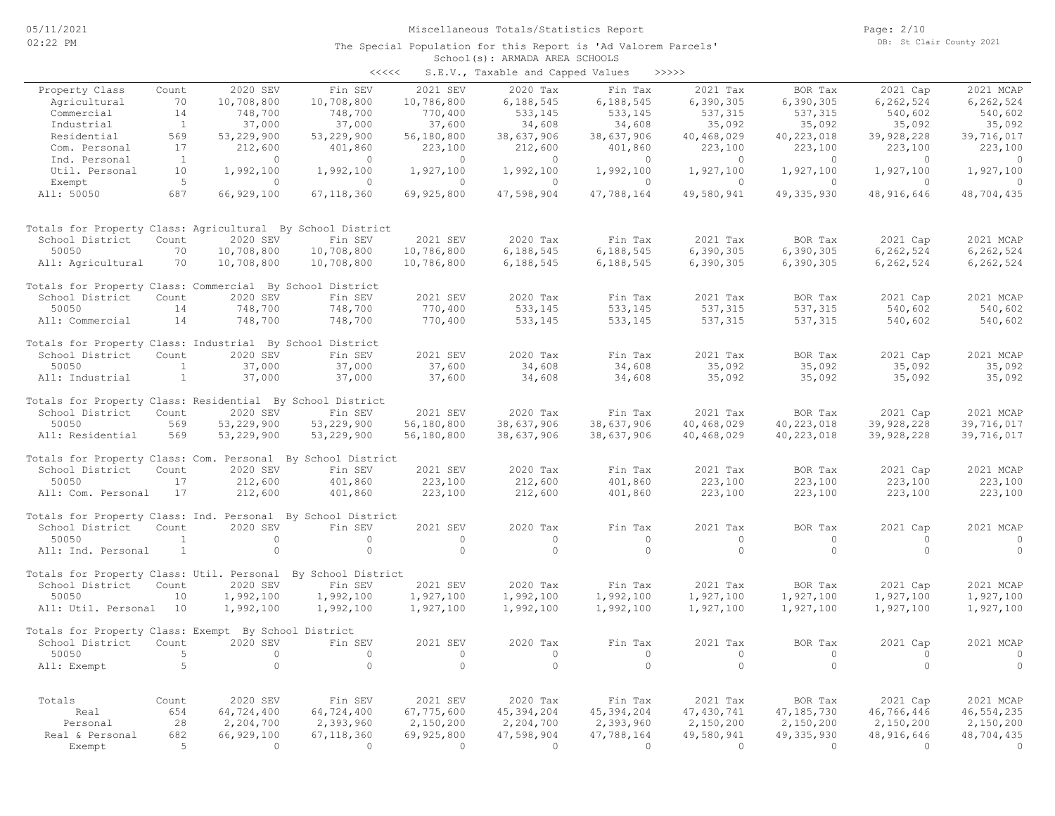|                     |       |          | くくくくく                | S.E.V.   | , Taxable and Capped Values |         | >>>>>       |
|---------------------|-------|----------|----------------------|----------|-----------------------------|---------|-------------|
| Property Class<br>. | Count | 2020 SEV | $\sqrt{2}$ in<br>SEV | 2021 SEV | $2020$ Tax                  | ™in Tax | 2021<br>Tax |

| Property Class                                               | Count          | 2020 SEV               | Fin SEV                | 2021 SEV               | 2020 Tax                 | Fin Tax                | 2021 Tax                     | BOR Tax                  | 2021 Cap               | 2021 MCAP             |
|--------------------------------------------------------------|----------------|------------------------|------------------------|------------------------|--------------------------|------------------------|------------------------------|--------------------------|------------------------|-----------------------|
| Agricultural                                                 | 70             | 10,708,800             | 10,708,800             | 10,786,800             | 6,188,545                | 6,188,545              | 6,390,305                    | 6,390,305                | 6, 262, 524            | 6,262,524             |
| Commercial                                                   | 14             | 748,700                | 748,700                | 770,400                | 533,145                  | 533,145                | 537,315                      | 537,315                  | 540,602                | 540,602               |
| Industrial                                                   | $\mathbf{1}$   | 37,000                 | 37,000                 | 37,600                 | 34,608                   | 34,608                 | 35,092                       | 35,092                   | 35,092                 | 35,092                |
| Residential                                                  | 569            | 53,229,900             | 53,229,900             | 56,180,800             | 38,637,906               | 38,637,906             | 40,468,029                   | 40, 223, 018             | 39,928,228             | 39,716,017            |
| Com. Personal                                                | 17             | 212,600                | 401,860                | 223,100                | 212,600                  | 401,860                | 223,100                      | 223,100                  | 223,100                | 223,100               |
| Ind. Personal                                                | $\overline{1}$ | $\circ$                | $\Omega$               | $\circ$                | $\circ$                  | $\circ$                | $\circ$                      | $\circ$                  | $\circ$                | $\circ$               |
| Util. Personal                                               | 10             | 1,992,100              | 1,992,100              | 1,927,100              | 1,992,100                | 1,992,100              | 1,927,100                    | 1,927,100                | 1,927,100              | 1,927,100             |
| Exempt                                                       | 5              | $\circ$                | $\Omega$               | $\Omega$               | $\Omega$                 | $\Omega$               | $\Omega$                     | $\Omega$                 | $\Omega$               | $\Omega$              |
| All: 50050                                                   | 687            | 66,929,100             | 67, 118, 360           | 69,925,800             | 47,598,904               | 47,788,164             | 49,580,941                   | 49, 335, 930             | 48,916,646             | 48,704,435            |
|                                                              |                |                        |                        |                        |                          |                        |                              |                          |                        |                       |
| Totals for Property Class: Agricultural By School District   |                |                        |                        |                        |                          |                        |                              |                          |                        |                       |
| School District                                              | Count          | 2020 SEV               | Fin SEV                | 2021 SEV               | 2020 Tax                 | Fin Tax                | 2021 Tax                     | BOR Tax                  | 2021 Cap               | 2021 MCAP             |
| 50050                                                        | 70             | 10,708,800             | 10,708,800             | 10,786,800             | 6,188,545                | 6,188,545              | 6,390,305                    | 6,390,305                | 6,262,524              | 6,262,524             |
| All: Agricultural                                            | 70             | 10,708,800             | 10,708,800             | 10,786,800             | 6,188,545                | 6,188,545              | 6,390,305                    | 6,390,305                | 6,262,524              | 6,262,524             |
| Totals for Property Class: Commercial By School District     |                |                        |                        |                        |                          |                        |                              |                          |                        |                       |
| School District                                              | Count          | 2020 SEV               | Fin SEV                | 2021 SEV               | 2020 Tax                 | Fin Tax                | 2021 Tax                     | BOR Tax                  | 2021 Cap               | 2021 MCAP             |
| 50050                                                        | 14             | 748,700                | 748,700                | 770,400                | 533,145                  | 533,145                | 537,315                      | 537, 315                 | 540,602                | 540,602               |
| All: Commercial                                              | 14             | 748,700                | 748,700                | 770,400                | 533,145                  | 533,145                | 537,315                      | 537,315                  | 540,602                | 540,602               |
| Totals for Property Class: Industrial By School District     |                |                        |                        |                        |                          |                        |                              |                          |                        |                       |
| School District                                              | Count          | 2020 SEV               | Fin SEV                | 2021 SEV               | 2020 Tax                 | Fin Tax                | 2021 Tax                     | BOR Tax                  | 2021 Cap               | 2021 MCAP             |
| 50050                                                        | <sup>1</sup>   | 37,000                 | 37,000                 | 37,600                 | 34,608                   | 34,608                 | 35,092                       | 35,092                   | 35,092                 | 35,092                |
| All: Industrial                                              | $\mathbf{1}$   | 37,000                 | 37,000                 | 37,600                 | 34,608                   | 34,608                 | 35,092                       | 35,092                   | 35,092                 | 35,092                |
| Totals for Property Class: Residential By School District    |                |                        |                        |                        |                          |                        |                              |                          |                        |                       |
| School District                                              | Count          | 2020 SEV               | Fin SEV                | 2021 SEV               | 2020 Tax                 | Fin Tax                | 2021 Tax                     | BOR Tax                  | 2021 Cap               | 2021 MCAP             |
| 50050                                                        | 569            | 53,229,900             | 53,229,900             | 56,180,800             | 38,637,906               | 38,637,906             | 40,468,029                   | 40, 223, 018             | 39,928,228             | 39,716,017            |
| All: Residential                                             | 569            | 53,229,900             | 53,229,900             | 56,180,800             | 38,637,906               | 38,637,906             | 40,468,029                   | 40, 223, 018             | 39,928,228             | 39,716,017            |
| Totals for Property Class: Com. Personal By School District  |                |                        |                        |                        |                          |                        |                              |                          |                        |                       |
| School District                                              | Count          | 2020 SEV               | Fin SEV                | 2021 SEV               | 2020 Tax                 | Fin Tax                | 2021 Tax                     | BOR Tax                  | 2021 Cap               | 2021 MCAP             |
| 50050                                                        | 17             | 212,600                | 401,860                | 223,100                | 212,600                  | 401,860                | 223,100                      | 223,100                  | 223,100                | 223,100               |
| All: Com. Personal                                           | 17             | 212,600                | 401,860                | 223,100                | 212,600                  | 401,860                | 223,100                      | 223,100                  | 223,100                | 223,100               |
| Totals for Property Class: Ind. Personal By School District  |                |                        |                        |                        |                          |                        |                              |                          |                        |                       |
| School District                                              | Count          | 2020 SEV               | Fin SEV                | 2021 SEV               | 2020 Tax                 | Fin Tax                | 2021 Tax                     | BOR Tax                  | 2021 Cap               | 2021 MCAP             |
| 50050                                                        | <sup>1</sup>   | $\circ$                | $\circ$                | $\Omega$               | $\Omega$                 | $\Omega$               | $\Omega$                     | $\circ$                  | $\Omega$               | $\Omega$              |
| All: Ind. Personal                                           | $\mathbf{1}$   | $\circ$                | $\circ$                | $\circ$                | $\circ$                  | $\circ$                | $\circ$                      | $\circ$                  | $\circ$                | $\circ$               |
| Totals for Property Class: Util. Personal By School District |                |                        |                        |                        |                          |                        |                              |                          |                        |                       |
| School District                                              | Count          | 2020 SEV               | Fin SEV                | 2021 SEV               | 2020 Tax                 | Fin Tax                | 2021 Tax                     | BOR Tax                  | 2021 Cap               | 2021 MCAP             |
| 50050                                                        | 10             | 1,992,100              | 1,992,100              | 1,927,100              | 1,992,100                | 1,992,100              | 1,927,100                    | 1,927,100                | 1,927,100              | 1,927,100             |
| All: Util. Personal                                          | 10             | 1,992,100              | 1,992,100              | 1,927,100              | 1,992,100                | 1,992,100              | 1,927,100                    | 1,927,100                | 1,927,100              | 1,927,100             |
| Totals for Property Class: Exempt By School District         |                |                        |                        |                        |                          |                        |                              |                          |                        |                       |
| School District                                              | Count          | 2020 SEV               | Fin SEV                | 2021 SEV               | 2020 Tax                 | Fin Tax                | 2021 Tax                     | BOR Tax                  | 2021 Cap               | 2021 MCAP             |
| 50050                                                        | $\overline{5}$ | $\circ$                | $\circ$                | $\circ$                | $\circ$                  | $\circ$                | $\circ$                      | $\circ$                  | $\circ$                | 0                     |
| All: Exempt                                                  | 5              | $\circ$                | $\circ$                | $\circ$                | $\circ$                  | $\circ$                | $\circ$                      | $\circ$                  | $\circ$                | $\circ$               |
| Totals                                                       |                | 2020 SEV               | Fin SEV                | 2021 SEV               | 2020 Tax                 | Fin Tax                | 2021 Tax                     | BOR Tax                  | 2021 Cap               | 2021 MCAP             |
|                                                              | Count<br>654   | 64,724,400             | 64,724,400             | 67,775,600             | 45, 394, 204             | 45, 394, 204           | 47, 430, 741                 | 47, 185, 730             | 46,766,446             | 46, 554, 235          |
| Real                                                         | 28             |                        |                        |                        |                          |                        |                              |                          |                        |                       |
| Personal                                                     | 682            | 2,204,700              | 2,393,960              | 2,150,200              | 2,204,700                | 2,393,960              | 2,150,200                    | 2,150,200                | 2,150,200              | 2,150,200             |
| Real & Personal                                              | $\overline{5}$ | 66,929,100<br>$\Omega$ | 67,118,360<br>$\Omega$ | 69,925,800<br>$\Omega$ | 47,598,904<br>$\bigcirc$ | 47,788,164<br>$\Omega$ | 49,580,941<br>$\overline{0}$ | 49, 335, 930<br>$\Omega$ | 48,916,646<br>$\Omega$ | 48,704,435<br>$\circ$ |
| Exempt                                                       |                |                        |                        |                        |                          |                        |                              |                          |                        |                       |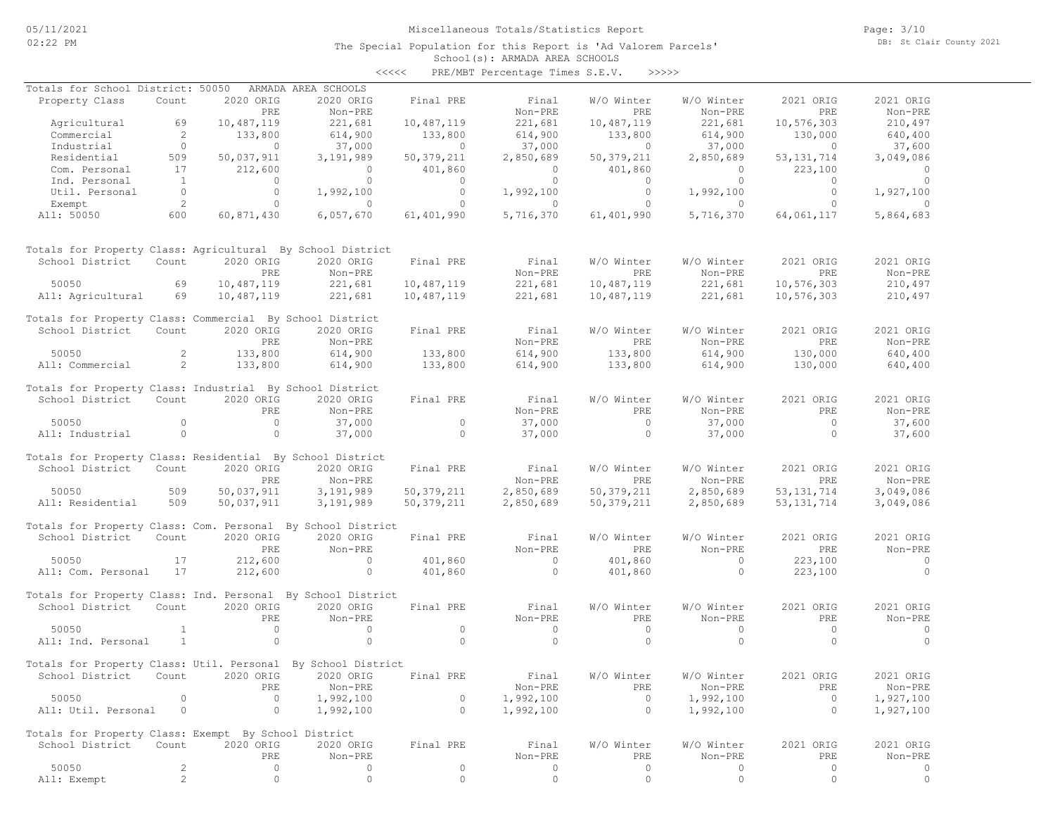The Special Population for this Report is 'Ad Valorem Parcels'

Page: 3/10 DB: St Clair County 2021

#### School(s): ARMADA AREA SCHOOLS <<<<< PRE/MBT Percentage Times S.E.V. >>>>>

| Totals for School District: 50050                            |                     |                   | ARMADA AREA SCHOOLS |              |                    |                          |                    |                   |                    |
|--------------------------------------------------------------|---------------------|-------------------|---------------------|--------------|--------------------|--------------------------|--------------------|-------------------|--------------------|
| Property Class                                               | Count               | 2020 ORIG         | 2020 ORIG           | Final PRE    | Final              | W/O Winter               | W/O Winter         | 2021 ORIG         | 2021 ORIG          |
|                                                              | 69                  | PRE<br>10,487,119 | Non-PRE<br>221,681  | 10,487,119   | Non-PRE<br>221,681 | <b>PRE</b><br>10,487,119 | Non-PRE<br>221,681 | PRE<br>10,576,303 | Non-PRE<br>210,497 |
| Agricultural<br>Commercial                                   | $\overline{2}$      | 133,800           | 614,900             | 133,800      | 614,900            | 133,800                  | 614,900            | 130,000           | 640,400            |
| Industrial                                                   | $\overline{0}$      | $\circ$           | 37,000              | $\circ$      | 37,000             | $\circ$                  | 37,000             | $\circ$           | 37,600             |
| Residential                                                  | 509                 | 50,037,911        | 3,191,989           | 50, 379, 211 | 2,850,689          | 50, 379, 211             | 2,850,689          | 53, 131, 714      | 3,049,086          |
| Com. Personal                                                | 17                  | 212,600           | $\circ$             | 401,860      | $\overline{0}$     | 401,860                  | $\overline{0}$     | 223,100           | $\overline{0}$     |
| Ind. Personal                                                | $\mathbf{1}$        | $\circ$           | $\circ$             | $\circ$      | $\circ$            | $\circ$                  | $\circ$            | $\circ$           | $\circ$            |
| Util. Personal                                               | $\overline{0}$      | $\circ$           | 1,992,100           | $\circ$      | 1,992,100          | $\circ$                  | 1,992,100          | $\circ$           | 1,927,100          |
| Exempt                                                       | 2                   | $\circ$           | $\Omega$            | $\circ$      | $\Omega$           | $\circ$                  | $\Omega$           | $\circ$           | $\Omega$           |
| All: 50050                                                   | 600                 | 60,871,430        | 6,057,670           | 61,401,990   | 5,716,370          | 61,401,990               | 5,716,370          | 64,061,117        | 5,864,683          |
| Totals for Property Class: Agricultural By School District   |                     |                   |                     |              |                    |                          |                    |                   |                    |
| School District                                              | Count               | 2020 ORIG         | 2020 ORIG           | Final PRE    | Final              | W/O Winter               | W/O Winter         | 2021 ORIG         | 2021 ORIG          |
|                                                              |                     | PRE               | Non-PRE             |              | Non-PRE            | PRE                      | Non-PRE            | PRE               | Non-PRE            |
| 50050                                                        | 69                  | 10,487,119        | 221,681             | 10,487,119   | 221,681            | 10,487,119               | 221,681            | 10,576,303        | 210,497            |
| All: Agricultural                                            | 69                  | 10,487,119        | 221,681             | 10,487,119   | 221,681            | 10,487,119               | 221,681            | 10,576,303        | 210,497            |
| Totals for Property Class: Commercial By School District     |                     |                   |                     |              |                    |                          |                    |                   |                    |
| School District                                              | Count               | 2020 ORIG         | 2020 ORIG           | Final PRE    | Final              | W/O Winter               | W/O Winter         | 2021 ORIG         | 2021 ORIG          |
|                                                              |                     | PRE               | Non-PRE             |              | Non-PRE            | PRE                      | Non-PRE            | PRE               | Non-PRE            |
| 50050<br>All: Commercial                                     | 2<br>$\overline{2}$ | 133,800           | 614,900             | 133,800      | 614,900            | 133,800                  | 614,900            | 130,000           | 640,400            |
|                                                              |                     | 133,800           | 614,900             | 133,800      | 614,900            | 133,800                  | 614,900            | 130,000           | 640,400            |
| Totals for Property Class: Industrial By School District     |                     |                   |                     |              |                    |                          |                    |                   |                    |
| School District                                              | Count               | 2020 ORIG         | 2020 ORIG           | Final PRE    | Final              | W/O Winter               | W/O Winter         | 2021 ORIG         | 2021 ORIG          |
|                                                              |                     | PRE               | Non-PRE             |              | Non-PRE            | <b>PRE</b>               | Non-PRE            | PRE               | Non-PRE            |
| 50050                                                        | $\circ$             | $\circ$           | 37,000              | $\circ$      | 37,000             | $\circ$                  | 37,000             | $\circ$           | 37,600             |
| All: Industrial                                              | $\circ$             | $\circ$           | 37,000              | $\circ$      | 37,000             | $\circ$                  | 37,000             | $\circ$           | 37,600             |
| Totals for Property Class: Residential By School District    |                     |                   |                     |              |                    |                          |                    |                   |                    |
| School District                                              | Count               | 2020 ORIG         | 2020 ORIG           | Final PRE    | Final              | W/O Winter               | W/O Winter         | 2021 ORIG         | 2021 ORIG          |
|                                                              |                     | PRE               | Non-PRE             |              | Non-PRE            | PRE                      | Non-PRE            | PRE               | Non-PRE            |
| 50050                                                        | 509                 | 50,037,911        | 3,191,989           | 50, 379, 211 | 2,850,689          | 50,379,211               | 2,850,689          | 53, 131, 714      | 3,049,086          |
| All: Residential                                             | 509                 | 50,037,911        | 3,191,989           | 50, 379, 211 | 2,850,689          | 50, 379, 211             | 2,850,689          | 53, 131, 714      | 3,049,086          |
| Totals for Property Class: Com. Personal By School District  |                     |                   |                     |              |                    |                          |                    |                   |                    |
| School District                                              | Count               | 2020 ORIG         | 2020 ORIG           | Final PRE    | Final              | W/O Winter               | W/O Winter         | 2021 ORIG         | 2021 ORIG          |
|                                                              |                     | PRE               | Non-PRE             |              | Non-PRE            | <b>PRE</b>               | Non-PRE            | PRE               | Non-PRE            |
| 50050                                                        | 17                  | 212,600           | $\circ$             | 401,860      | $\circ$            | 401,860                  | $\circ$            | 223,100           | $\circ$            |
| All: Com. Personal                                           | 17                  | 212,600           | $\circ$             | 401,860      | $\circ$            | 401,860                  | $\circ$            | 223,100           | $\circ$            |
| Totals for Property Class: Ind. Personal By School District  |                     |                   |                     |              |                    |                          |                    |                   |                    |
| School District                                              | Count               | 2020 ORIG         | 2020 ORIG           | Final PRE    | Final              | W/O Winter               | W/O Winter         | 2021 ORIG         | 2021 ORIG          |
|                                                              |                     | PRE               | Non-PRE             |              | Non-PRE            | PRE                      | Non-PRE            | PRE               | Non-PRE            |
| 50050                                                        | $\mathbf{1}$        | $\circ$           | $\circ$             | $\circ$      | $\overline{0}$     | $\circ$                  | $\circ$            | $\circ$           | $\circ$            |
| All: Ind. Personal                                           | $\mathbf{1}$        | $\circ$           | $\circ$             | $\Omega$     | $\Omega$           | $\Omega$                 | $\circ$            | $\Omega$          | $\Omega$           |
| Totals for Property Class: Util. Personal By School District |                     |                   |                     |              |                    |                          |                    |                   |                    |
| School District                                              | Count               | 2020 ORIG         | 2020 ORIG           | Final PRE    | Final              | W/O Winter               | W/O Winter         | 2021 ORIG         | 2021 ORIG          |
|                                                              |                     | PRE               | Non-PRE             |              | Non-PRE            | PRE                      | Non-PRE            | PRE               | Non-PRE            |
| 50050                                                        | 0                   | $\circ$           | 1,992,100           | $\circ$      | 1,992,100          | $\circ$                  | 1,992,100          | $\circ$           | 1,927,100          |
| All: Util. Personal                                          | 0                   | $\circ$           | 1,992,100           | $\circ$      | 1,992,100          | $\circ$                  | 1,992,100          | $\circ$           | 1,927,100          |
| Totals for Property Class: Exempt By School District         |                     |                   |                     |              |                    |                          |                    |                   |                    |
| School District                                              | Count               | 2020 ORIG         | 2020 ORIG           | Final PRE    | Final              | W/O Winter               | W/O Winter         | 2021 ORIG         | 2021 ORIG          |
|                                                              |                     | PRE               | Non-PRE             |              | Non-PRE            | PRE                      | Non-PRE            | PRE               | Non-PRE            |
| 50050                                                        | 2                   | 0                 | 0                   | 0            | 0                  | $\circ$                  | 0                  | 0                 | 0                  |
| All: Exempt                                                  | $\overline{c}$      | $\circ$           | $\mathsf{O}\xspace$ | 0            | $\circ$            | $\circ$                  | $\circ$            | $\circ$           | $\circ$            |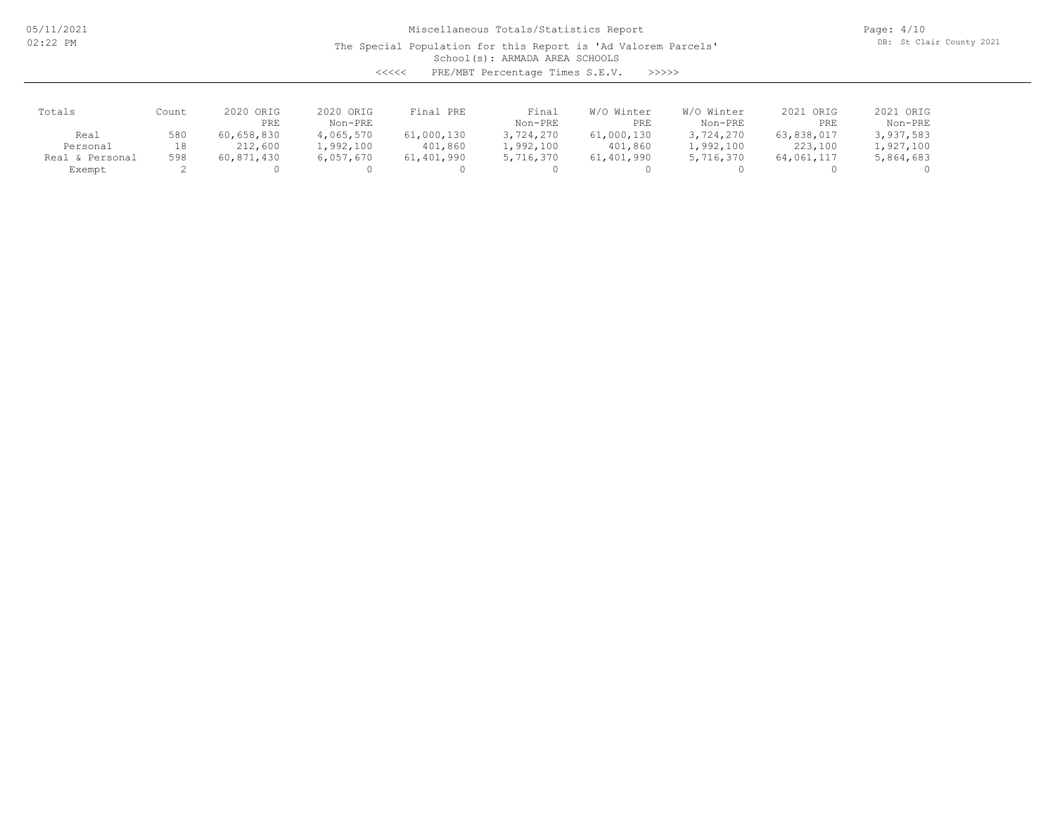The Special Population for this Report is 'Ad Valorem Parcels'

Page: 4/10 DB: St Clair County 2021

School(s): ARMADA AREA SCHOOLS

<<<<< PRE/MBT Percentage Times S.E.V. >>>>>

| Totals          | Count | 2020 ORIG<br>PRE | 2020 ORIG<br>Non-PRE | Final PRE  | Final<br>Non-PRE | Winter<br>W/O<br>PRE | W/O Winter<br>Non-PRE | 2021 ORIG<br>PRE | 2021 ORIG<br>Non-PRE |
|-----------------|-------|------------------|----------------------|------------|------------------|----------------------|-----------------------|------------------|----------------------|
| Real            | 580   | 60,658,830       | 4,065,570            | 61,000,130 | 3,724,270        | 61,000,130           | 3,724,270             | 63,838,017       | 3,937,583            |
| Personal        | 18    | 212,600          | l,992,100            | 401,860    | 1,992,100        | 401,860              | 1,992,100             | 223,100          | 1,927,100            |
| Real & Personal | 598   | 60,871,430       | 6,057,670            | 61,401,990 | 5,716,370        | 61,401,990           | 5,716,370             | 64,061,117       | 5,864,683            |
| Exempt          |       |                  |                      |            |                  |                      |                       |                  |                      |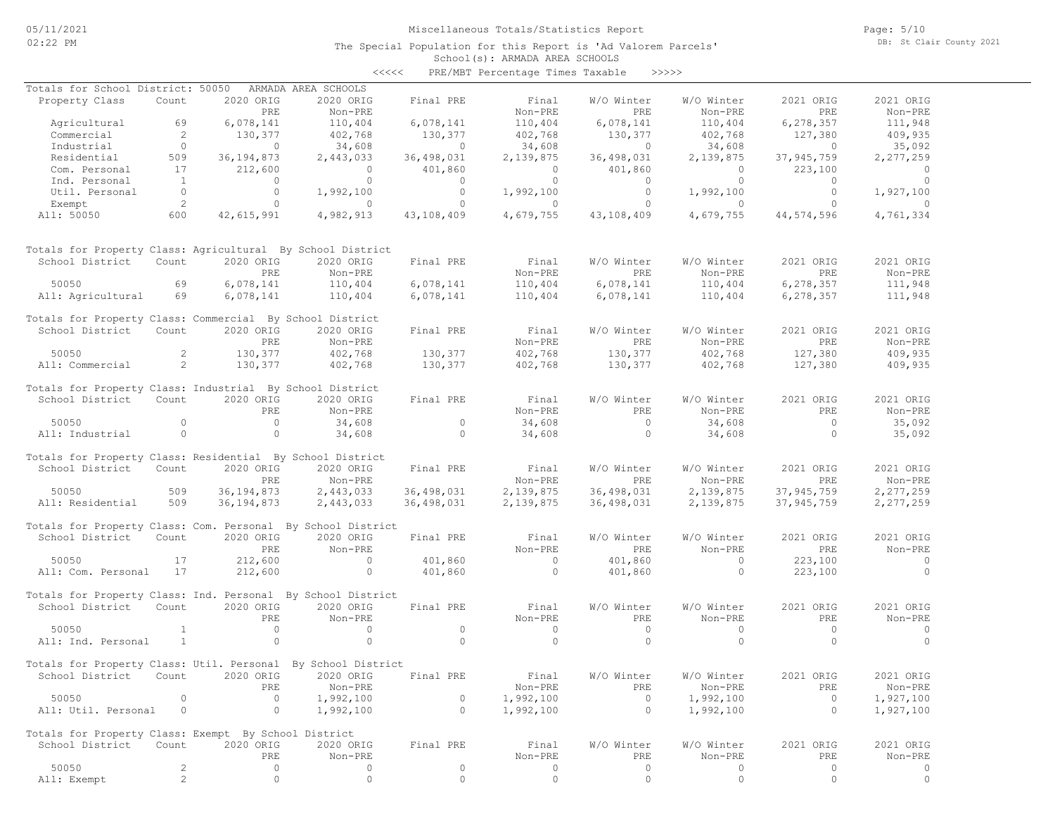The Special Population for this Report is 'Ad Valorem Parcels'

Page: 5/10 DB: St Clair County 2021

#### School(s): ARMADA AREA SCHOOLS <<<<< PRE/MBT Percentage Times Taxable >>>>>

| Totals for School District: 50050                            |                |                | ARMADA AREA SCHOOLS |                |           |            |                |              |                |
|--------------------------------------------------------------|----------------|----------------|---------------------|----------------|-----------|------------|----------------|--------------|----------------|
| Property Class                                               | Count          | 2020 ORIG      | 2020 ORIG           | Final PRE      | Final     | W/O Winter | W/O Winter     | 2021 ORIG    | 2021 ORIG      |
|                                                              |                | PRE            | Non-PRE             |                | Non-PRE   | PRE        | Non-PRE        | PRE          | Non-PRE        |
| Agricultural                                                 | 69             | 6,078,141      | 110,404             | 6,078,141      | 110,404   | 6,078,141  | 110,404        | 6,278,357    | 111,948        |
| Commercial                                                   | 2              | 130,377        | 402,768             | 130,377        | 402,768   | 130,377    | 402,768        | 127,380      | 409,935        |
| Industrial                                                   | $\circ$        | $\overline{0}$ | 34,608              | $\overline{0}$ | 34,608    | $\circ$    | 34,608         | $\circ$      | 35,092         |
| Residential                                                  | 509            | 36, 194, 873   | 2,443,033           | 36,498,031     | 2,139,875 | 36,498,031 | 2,139,875      | 37,945,759   | 2,277,259      |
| Com. Personal                                                | 17             | 212,600        | $\circ$             | 401,860        | $\circ$   | 401,860    | $\circ$        | 223,100      | $\circ$        |
| Ind. Personal                                                | $\mathbf{1}$   | $\circ$        | $\circ$             | $\circ$        | $\circ$   | $\circ$    | $\overline{0}$ | $\circ$      | $\overline{0}$ |
| Util. Personal                                               | $\overline{0}$ | $\circ$        | 1,992,100           | $\circ$        | 1,992,100 | $\circ$    | 1,992,100      | $\circ$      | 1,927,100      |
|                                                              | 2              | $\circ$        | $\circ$             | $\circ$        | $\circ$   | $\circ$    | $\Omega$       | $\Omega$     | $\Omega$       |
| Exempt                                                       | 600            |                |                     |                |           | 43,108,409 |                |              |                |
| All: 50050                                                   |                | 42,615,991     | 4,982,913           | 43,108,409     | 4,679,755 |            | 4,679,755      | 44,574,596   | 4,761,334      |
| Totals for Property Class: Agricultural By School District   |                |                |                     |                |           |            |                |              |                |
| School District                                              | Count          | 2020 ORIG      | 2020 ORIG           | Final PRE      | Final     | W/O Winter | W/O Winter     | 2021 ORIG    | 2021 ORIG      |
|                                                              |                | PRE            | Non-PRE             |                | Non-PRE   | <b>PRE</b> | Non-PRE        | <b>PRE</b>   | Non-PRE        |
| 50050                                                        | 69             | 6,078,141      | 110,404             | 6,078,141      | 110,404   | 6,078,141  | 110,404        | 6,278,357    | 111,948        |
| All: Agricultural                                            | 69             | 6,078,141      | 110,404             | 6,078,141      | 110,404   | 6,078,141  | 110,404        | 6, 278, 357  | 111,948        |
| Totals for Property Class: Commercial By School District     |                |                |                     |                |           |            |                |              |                |
| School District                                              | Count          | 2020 ORIG      | 2020 ORIG           | Final PRE      | Final     | W/O Winter | W/O Winter     | 2021 ORIG    | 2021 ORIG      |
|                                                              |                | PRE            | Non-PRE             |                | Non-PRE   | PRE        | Non-PRE        | PRE          | Non-PRE        |
| 50050                                                        | $\mathbf{2}$   | 130,377        | 402,768             | 130,377        | 402,768   | 130,377    | 402,768        | 127,380      | 409,935        |
| All: Commercial                                              | 2              | 130,377        | 402,768             | 130,377        | 402,768   | 130,377    | 402,768        | 127,380      | 409,935        |
|                                                              |                |                |                     |                |           |            |                |              |                |
| Totals for Property Class: Industrial By School District     |                |                |                     |                |           |            |                |              |                |
| School District                                              | Count          | 2020 ORIG      | 2020 ORIG           | Final PRE      | Final     | W/O Winter | W/O Winter     | 2021 ORIG    | 2021 ORIG      |
|                                                              |                | <b>PRE</b>     | Non-PRE             |                | Non-PRE   | PRE        | Non-PRE        | PRE          | Non-PRE        |
| 50050                                                        | $\circ$        | $\circ$        | 34,608              | $\circ$        | 34,608    | $\circ$    | 34,608         | $\circ$      | 35,092         |
| All: Industrial                                              | $\circ$        | $\circ$        | 34,608              | $\circ$        | 34,608    | $\circ$    | 34,608         | $\circ$      | 35,092         |
| Totals for Property Class: Residential By School District    |                |                |                     |                |           |            |                |              |                |
| School District                                              | Count          | 2020 ORIG      | 2020 ORIG           | Final PRE      | Final     | W/O Winter | W/O Winter     | 2021 ORIG    | 2021 ORIG      |
|                                                              |                | PRE            | Non-PRE             |                | Non-PRE   | PRE        | Non-PRE        | PRE          | Non-PRE        |
| 50050                                                        | 509            | 36, 194, 873   | 2,443,033           | 36,498,031     | 2,139,875 | 36,498,031 | 2,139,875      | 37, 945, 759 | 2,277,259      |
| All: Residential                                             | 509            | 36, 194, 873   | 2,443,033           | 36,498,031     | 2,139,875 | 36,498,031 | 2,139,875      | 37,945,759   | 2,277,259      |
|                                                              |                |                |                     |                |           |            |                |              |                |
| Totals for Property Class: Com. Personal By School District  |                |                |                     |                |           |            |                |              |                |
| School District                                              | Count          | 2020 ORIG      | 2020 ORIG           | Final PRE      | Final     | W/O Winter | W/O Winter     | 2021 ORIG    | 2021 ORIG      |
|                                                              |                | PRE            | Non-PRE             |                | Non-PRE   | PRE        | Non-PRE        | PRE          | Non-PRE        |
| 50050                                                        | 17             | 212,600        | $\circ$             | 401,860        | $\circ$   | 401,860    | $\circ$        | 223,100      | $\circ$        |
| All: Com. Personal                                           | 17             | 212,600        | $\circ$             | 401,860        | $\circ$   | 401,860    | $\circ$        | 223,100      | $\circ$        |
| Totals for Property Class: Ind. Personal By School District  |                |                |                     |                |           |            |                |              |                |
| School District                                              | Count          | 2020 ORIG      | 2020 ORIG           | Final PRE      | Final     | W/O Winter | W/O Winter     | 2021 ORIG    | 2021 ORIG      |
|                                                              |                | PRE            | Non-PRE             |                | Non-PRE   | PRE        | Non-PRE        | PRE          | Non-PRE        |
| 50050                                                        | $\mathbf{1}$   | $\circ$        | $\circ$             | $\circ$        | $\circ$   | $\circ$    | $\circ$        | $\circ$      | $\circ$        |
|                                                              | <sup>1</sup>   | $\Omega$       | $\Omega$            | $\Omega$       | $\Omega$  | $\Omega$   | $\Omega$       | $\Omega$     | $\Omega$       |
| All: Ind. Personal                                           |                |                |                     |                |           |            |                |              |                |
| Totals for Property Class: Util. Personal By School District |                |                |                     |                |           |            |                |              |                |
| School District Count 2020 ORIG 2020 ORIG Final PRE          |                |                |                     |                | Final     | W/O Winter | W/O Winter     | 2021 ORIG    | 2021 ORIG      |
|                                                              |                | PRE            | Non-PRE             |                | Non-PRE   | PRE        | Non-PRE        | PRE          | Non-PRE        |
| 50050                                                        | $\Omega$       | $\circ$        | 1,992,100           | $\circ$        | 1,992,100 | $\circ$    | 1,992,100      | $\circ$      | 1,927,100      |
| All: Util. Personal                                          | $\circ$        | $\circ$        | 1,992,100           | $\circ$        | 1,992,100 | $\circ$    | 1,992,100      | $\circ$      | 1,927,100      |
|                                                              |                |                |                     |                |           |            |                |              |                |
| Totals for Property Class: Exempt By School District         |                |                |                     |                |           |            |                |              |                |
| School District                                              | Count          | 2020 ORIG      | 2020 ORIG           | Final PRE      | Final     | W/O Winter | W/O Winter     | 2021 ORIG    | 2021 ORIG      |
|                                                              |                | PRE            | Non-PRE             |                | Non-PRE   | PRE        | Non-PRE        | PRE          | Non-PRE        |
| 50050                                                        | 2              | $\circ$        | 0                   | 0              | 0         | $\circ$    | 0              | 0            | 0              |
| All: Exempt                                                  | $\overline{c}$ | $\circ$        | $\circ$             | $\circ$        | $\circ$   | $\circ$    | 0              | $\circ$      | $\circ$        |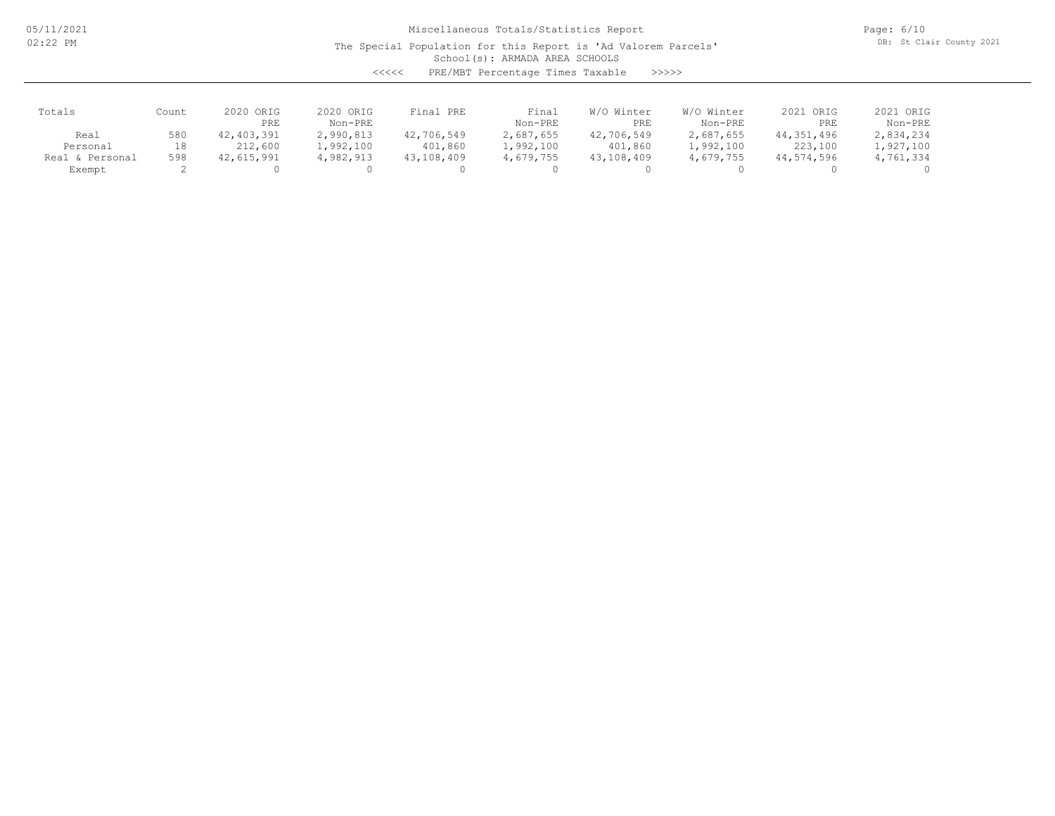The Special Population for this Report is 'Ad Valorem Parcels'

Page: 6/10 DB: St Clair County 2021

School(s): ARMADA AREA SCHOOLS

<<<<< PRE/MBT Percentage Times Taxable >>>>>

| Totals               | Count | 2020 ORIG<br>PRE | 2020 ORIG<br>Non-PRE | Final PRE  | Final<br>Non-PRE | Winter<br>W/O<br>PRE | W/O Winter<br>Non-PRE | 2021 ORIG<br>PRE | 2021 ORIG<br>Non-PRE |
|----------------------|-------|------------------|----------------------|------------|------------------|----------------------|-----------------------|------------------|----------------------|
| Real                 | 580   | 42, 403, 391     | 2,990,813            | 42,706,549 | 2,687,655        | 42,706,549           | 2,687,655             | 44,351,496       | 2,834,234            |
| Personal             | 18    | 212,600          | 1,992,100            | 401,860    | l,992,100        | 401,860              | 1,992,100             | 223,100          | 1,927,100            |
| . & Personal<br>Real | 598   | 42,615,991       | 4,982,913            | 43,108,409 | 4,679,755        | 43,108,409           | 4,679,755             | 44,574,596       | 4,761,334            |
| Exempt               |       |                  |                      |            |                  |                      |                       |                  |                      |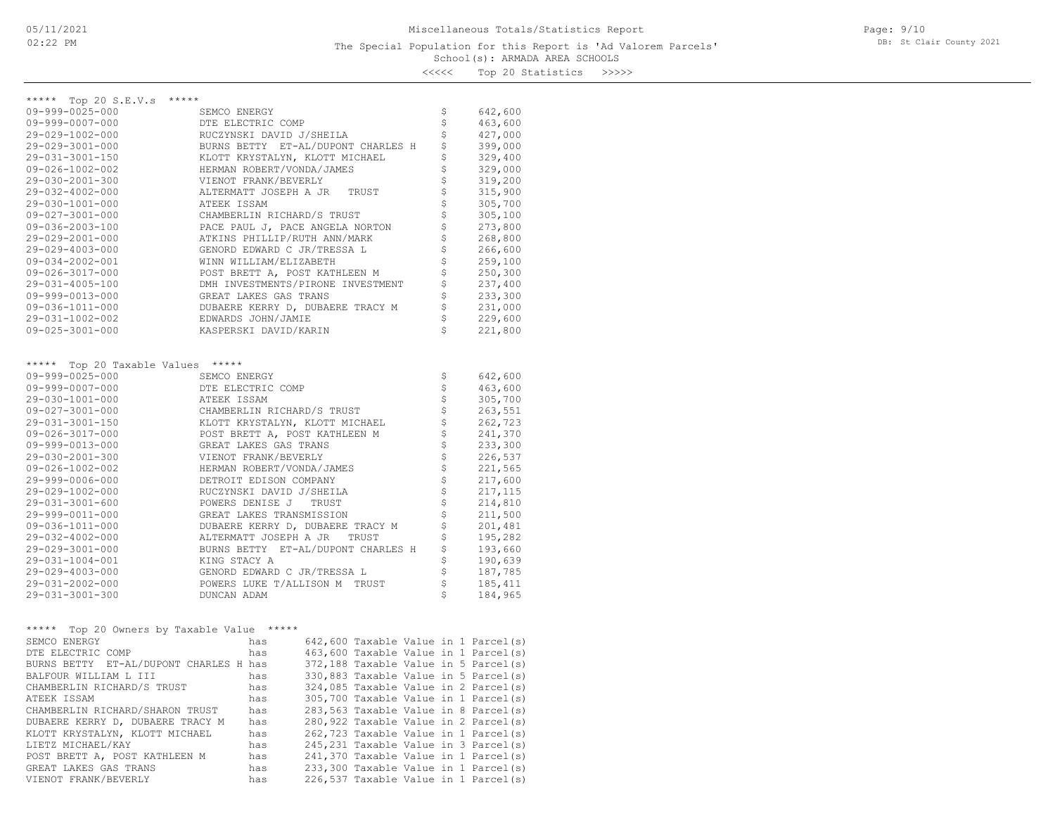Page: 9/10 DB: St Clair County 2021

<<<<< Top 20 Statistics >>>>>

| *****<br>***** Top 20 S.E.V.s                 |                                              |                                |         |
|-----------------------------------------------|----------------------------------------------|--------------------------------|---------|
| 09-999-0025-000                               | SEMCO ENERGY                                 | \$                             | 642,600 |
| $09 - 999 - 0007 - 000$                       | DTE ELECTRIC COMP                            | \$                             | 463,600 |
| 29-029-1002-000                               | RUCZYNSKI DAVID J/SHEILA                     | \$                             | 427,000 |
| 29-029-3001-000                               | BURNS BETTY ET-AL/DUPONT CHARLES H           | \$                             | 399,000 |
| 29-031-3001-150                               | KLOTT KRYSTALYN, KLOTT MICHAEL               | \$                             | 329,400 |
| $09 - 026 - 1002 - 002$                       | HERMAN ROBERT/VONDA/JAMES                    | \$                             | 329,000 |
| 29-030-2001-300                               | VIENOT FRANK/BEVERLY                         | \$                             |         |
|                                               |                                              |                                | 319,200 |
| 29-032-4002-000                               | ALTERMATT JOSEPH A JR TRUST                  | \$                             | 315,900 |
| 29-030-1001-000                               | ATEEK ISSAM                                  | \$                             | 305,700 |
| $09 - 027 - 3001 - 000$                       | CHAMBERLIN RICHARD/S TRUST                   | \$                             | 305,100 |
| 09-036-2003-100                               | PACE PAUL J, PACE ANGELA NORTON              | \$                             | 273,800 |
| 29-029-2001-000                               | ATKINS PHILLIP/RUTH ANN/MARK                 | \$                             | 268,800 |
| 29-029-4003-000                               | GENORD EDWARD C JR/TRESSA L                  | \$                             | 266,600 |
| $09 - 034 - 2002 - 001$                       | WINN WILLIAM/ELIZABETH                       | \$                             | 259,100 |
| 09-026-3017-000                               | POST BRETT A, POST KATHLEEN M                | \$                             | 250,300 |
| 29-031-4005-100                               | DMH INVESTMENTS/PIRONE INVESTMENT            | \$                             | 237,400 |
| 09-999-0013-000                               | GREAT LAKES GAS TRANS                        | \$                             | 233,300 |
| 09-036-1011-000                               | DUBAERE KERRY D, DUBAERE TRACY M             | $\mathsf{S}$                   | 231,000 |
| 29-031-1002-002                               | EDWARDS JOHN/JAMIE                           | \$                             | 229,600 |
| $09 - 025 - 3001 - 000$                       | KASPERSKI DAVID/KARIN                        | \$                             | 221,800 |
|                                               |                                              |                                |         |
|                                               |                                              |                                |         |
| Top 20 Taxable Values *****<br>*****          |                                              |                                |         |
| 09-999-0025-000                               | SEMCO ENERGY                                 | \$                             | 642,600 |
| 09-999-0007-000                               | DTE ELECTRIC COMP                            | \$                             | 463,600 |
| 29-030-1001-000                               | ATEEK ISSAM                                  | \$                             | 305,700 |
| 09-027-3001-000                               | CHAMBERLIN RICHARD/S TRUST                   | \$                             | 263,551 |
| 29-031-3001-150                               | KLOTT KRYSTALYN, KLOTT MICHAEL               | \$                             | 262,723 |
| 09-026-3017-000                               | POST BRETT A, POST KATHLEEN M                | \$                             | 241,370 |
| 09-999-0013-000                               | GREAT LAKES GAS TRANS                        | \$                             | 233,300 |
| 29-030-2001-300                               | VIENOT FRANK/BEVERLY                         | \$                             | 226,537 |
| 09-026-1002-002                               | HERMAN ROBERT/VONDA/JAMES                    | \$                             | 221,565 |
|                                               |                                              | $\boldsymbol{\dot{\varsigma}}$ |         |
| 29-999-0006-000                               | DETROIT EDISON COMPANY                       | $\mathsf{S}$                   | 217,600 |
| 29-029-1002-000                               | RUCZYNSKI DAVID J/SHEILA                     |                                | 217,115 |
| 29-031-3001-600                               | POWERS DENISE J TRUST                        | \$                             | 214,810 |
| 29-999-0011-000                               | GREAT LAKES TRANSMISSION                     | \$                             | 211,500 |
| 09-036-1011-000                               | DUBAERE KERRY D, DUBAERE TRACY M             | \$                             | 201,481 |
| 29-032-4002-000                               | ALTERMATT JOSEPH A JR<br>TRUST               | \$                             | 195,282 |
| 29-029-3001-000                               | BURNS BETTY ET-AL/DUPONT CHARLES H           | \$                             | 193,660 |
| 29-031-1004-001                               | KING STACY A                                 | \$                             | 190,639 |
| 29-029-4003-000                               | GENORD EDWARD C JR/TRESSA L                  | \$                             | 187,785 |
| 29-031-2002-000                               | POWERS LUKE T/ALLISON M TRUST                | $\mathsf{S}$                   | 185,411 |
| 29-031-3001-300                               | DUNCAN ADAM                                  | \$                             | 184,965 |
|                                               |                                              |                                |         |
|                                               |                                              |                                |         |
| *****<br>Top 20 Owners by Taxable Value ***** |                                              |                                |         |
| SEMCO ENERGY                                  | 642,600 Taxable Value in 1 Parcel(s)<br>has  |                                |         |
| DTE ELECTRIC COMP                             | 463,600 Taxable Value in 1 Parcel(s)<br>has  |                                |         |
| BURNS BETTY ET-AL/DUPONT CHARLES H has        | 372,188 Taxable Value in 5 Parcel(s)         |                                |         |
| BALFOUR WILLIAM L III                         | 330,883 Taxable Value in 5 Parcel(s)<br>has  |                                |         |
| CHAMBERLIN RICHARD/S TRUST                    | 324,085 Taxable Value in 2 Parcel(s)<br>has  |                                |         |
| ATEEK ISSAM                                   | has<br>305,700 Taxable Value in 1 Parcel(s)  |                                |         |
| CHAMBERLIN RICHARD/SHARON TRUST               | 283,563 Taxable Value in 8 Parcel(s)<br>has  |                                |         |
| DUBAERE KERRY D, DUBAERE TRACY M              | 280,922 Taxable Value in 2 Parcel(s)<br>has  |                                |         |
| KLOTT KRYSTALYN, KLOTT MICHAEL                | 262,723 Taxable Value in 1 Parcel(s)<br>has  |                                |         |
| LIETZ MICHAEL/KAY                             | 245, 231 Taxable Value in 3 Parcel(s)<br>has |                                |         |
| POST BRETT A, POST KATHLEEN M                 | 241,370 Taxable Value in 1 Parcel(s)<br>has  |                                |         |
| GREAT LAKES GAS TRANS                         | 233,300 Taxable Value in 1 Parcel(s)<br>has  |                                |         |
| VIENOT FRANK/BEVERLY                          | 226,537 Taxable Value in 1 Parcel(s)<br>has  |                                |         |
|                                               |                                              |                                |         |